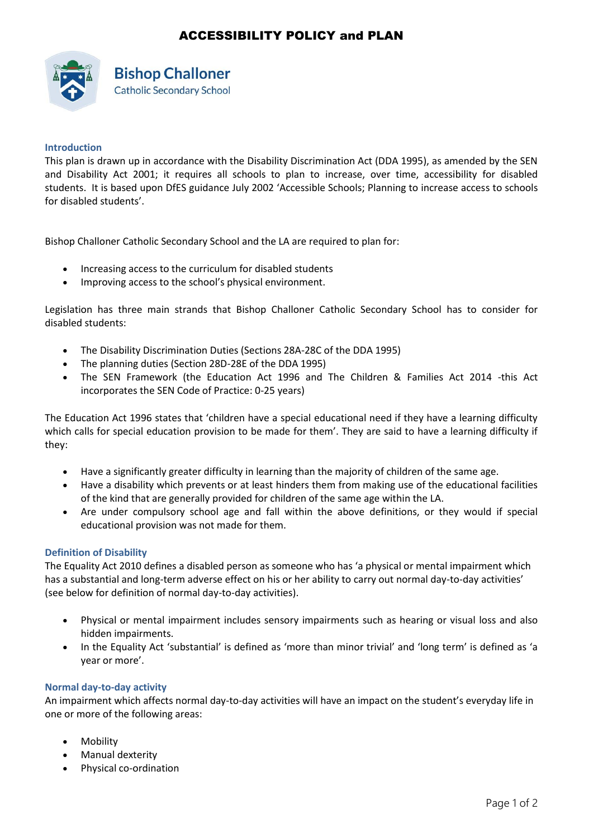# ACCESSIBILITY POLICY and PLAN



# **Bishop Challoner Catholic Secondary School**

## **Introduction**

This plan is drawn up in accordance with the Disability Discrimination Act (DDA 1995), as amended by the SEN and Disability Act 2001; it requires all schools to plan to increase, over time, accessibility for disabled students. It is based upon DfES guidance July 2002 'Accessible Schools; Planning to increase access to schools for disabled students'.

Bishop Challoner Catholic Secondary School and the LA are required to plan for:

- Increasing access to the curriculum for disabled students
- Improving access to the school's physical environment.

Legislation has three main strands that Bishop Challoner Catholic Secondary School has to consider for disabled students:

- The Disability Discrimination Duties (Sections 28A-28C of the DDA 1995)
- The planning duties (Section 28D-28E of the DDA 1995)
- The SEN Framework (the Education Act 1996 and The Children & Families Act 2014 -this Act incorporates the SEN Code of Practice: 0-25 years)

The Education Act 1996 states that 'children have a special educational need if they have a learning difficulty which calls for special education provision to be made for them'. They are said to have a learning difficulty if they:

- Have a significantly greater difficulty in learning than the majority of children of the same age.
- Have a disability which prevents or at least hinders them from making use of the educational facilities of the kind that are generally provided for children of the same age within the LA.
- Are under compulsory school age and fall within the above definitions, or they would if special educational provision was not made for them.

### **Definition of Disability**

The Equality Act 2010 defines a disabled person as someone who has 'a physical or mental impairment which has a substantial and long-term adverse effect on his or her ability to carry out normal day-to-day activities' (see below for definition of normal day-to-day activities).

- Physical or mental impairment includes sensory impairments such as hearing or visual loss and also hidden impairments.
- In the Equality Act 'substantial' is defined as 'more than minor trivial' and 'long term' is defined as 'a year or more'.

### **Normal day-to-day activity**

An impairment which affects normal day-to-day activities will have an impact on the student's everyday life in one or more of the following areas:

- Mobility
- Manual dexterity
- Physical co-ordination